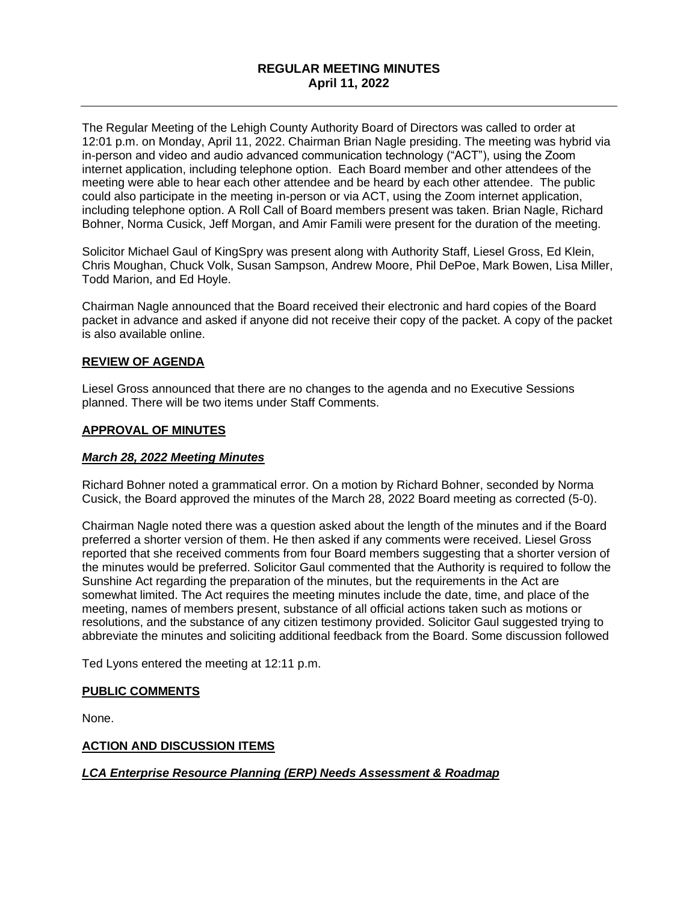## **REGULAR MEETING MINUTES April 11, 2022**

The Regular Meeting of the Lehigh County Authority Board of Directors was called to order at 12:01 p.m. on Monday, April 11, 2022. Chairman Brian Nagle presiding. The meeting was hybrid via in-person and video and audio advanced communication technology ("ACT"), using the Zoom internet application, including telephone option. Each Board member and other attendees of the meeting were able to hear each other attendee and be heard by each other attendee. The public could also participate in the meeting in-person or via ACT, using the Zoom internet application, including telephone option. A Roll Call of Board members present was taken. Brian Nagle, Richard Bohner, Norma Cusick, Jeff Morgan, and Amir Famili were present for the duration of the meeting.

Solicitor Michael Gaul of KingSpry was present along with Authority Staff, Liesel Gross, Ed Klein, Chris Moughan, Chuck Volk, Susan Sampson, Andrew Moore, Phil DePoe, Mark Bowen, Lisa Miller, Todd Marion, and Ed Hoyle.

Chairman Nagle announced that the Board received their electronic and hard copies of the Board packet in advance and asked if anyone did not receive their copy of the packet. A copy of the packet is also available online.

#### **REVIEW OF AGENDA**

Liesel Gross announced that there are no changes to the agenda and no Executive Sessions planned. There will be two items under Staff Comments.

#### **APPROVAL OF MINUTES**

#### *March 28, 2022 Meeting Minutes*

Richard Bohner noted a grammatical error. On a motion by Richard Bohner, seconded by Norma Cusick, the Board approved the minutes of the March 28, 2022 Board meeting as corrected (5-0).

Chairman Nagle noted there was a question asked about the length of the minutes and if the Board preferred a shorter version of them. He then asked if any comments were received. Liesel Gross reported that she received comments from four Board members suggesting that a shorter version of the minutes would be preferred. Solicitor Gaul commented that the Authority is required to follow the Sunshine Act regarding the preparation of the minutes, but the requirements in the Act are somewhat limited. The Act requires the meeting minutes include the date, time, and place of the meeting, names of members present, substance of all official actions taken such as motions or resolutions, and the substance of any citizen testimony provided. Solicitor Gaul suggested trying to abbreviate the minutes and soliciting additional feedback from the Board. Some discussion followed

Ted Lyons entered the meeting at 12:11 p.m.

#### **PUBLIC COMMENTS**

None.

#### **ACTION AND DISCUSSION ITEMS**

#### *LCA Enterprise Resource Planning (ERP) Needs Assessment & Roadmap*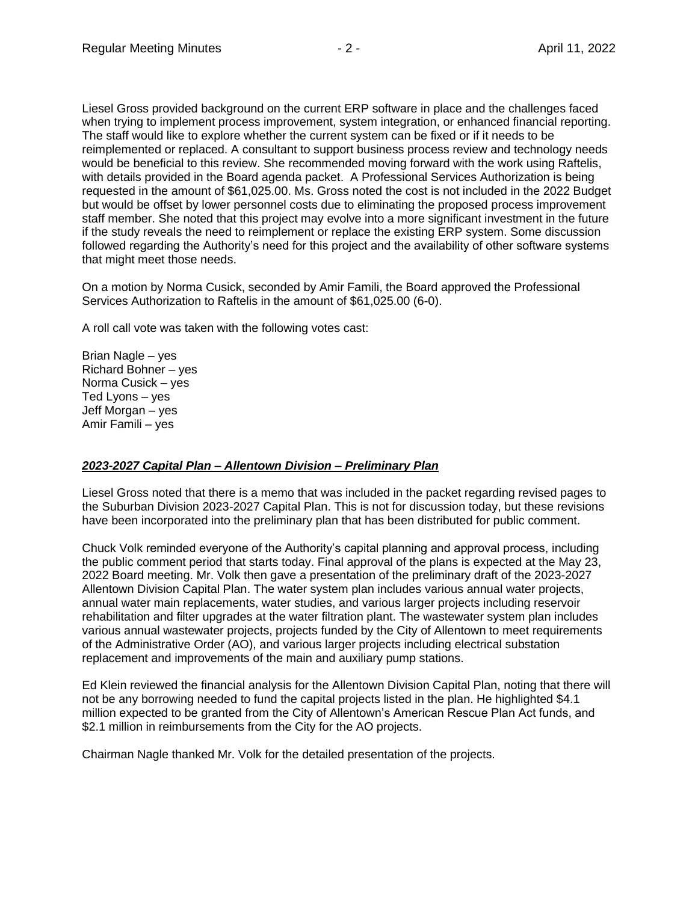Liesel Gross provided background on the current ERP software in place and the challenges faced when trying to implement process improvement, system integration, or enhanced financial reporting. The staff would like to explore whether the current system can be fixed or if it needs to be reimplemented or replaced. A consultant to support business process review and technology needs would be beneficial to this review. She recommended moving forward with the work using Raftelis, with details provided in the Board agenda packet. A Professional Services Authorization is being requested in the amount of \$61,025.00. Ms. Gross noted the cost is not included in the 2022 Budget but would be offset by lower personnel costs due to eliminating the proposed process improvement staff member. She noted that this project may evolve into a more significant investment in the future if the study reveals the need to reimplement or replace the existing ERP system. Some discussion followed regarding the Authority's need for this project and the availability of other software systems that might meet those needs.

On a motion by Norma Cusick, seconded by Amir Famili, the Board approved the Professional Services Authorization to Raftelis in the amount of \$61,025.00 (6-0).

A roll call vote was taken with the following votes cast:

Brian Nagle – yes Richard Bohner – yes Norma Cusick – yes Ted Lyons – yes Jeff Morgan – yes Amir Famili – yes

#### *2023-2027 Capital Plan – Allentown Division – Preliminary Plan*

Liesel Gross noted that there is a memo that was included in the packet regarding revised pages to the Suburban Division 2023-2027 Capital Plan. This is not for discussion today, but these revisions have been incorporated into the preliminary plan that has been distributed for public comment.

Chuck Volk reminded everyone of the Authority's capital planning and approval process, including the public comment period that starts today. Final approval of the plans is expected at the May 23, 2022 Board meeting. Mr. Volk then gave a presentation of the preliminary draft of the 2023-2027 Allentown Division Capital Plan. The water system plan includes various annual water projects, annual water main replacements, water studies, and various larger projects including reservoir rehabilitation and filter upgrades at the water filtration plant. The wastewater system plan includes various annual wastewater projects, projects funded by the City of Allentown to meet requirements of the Administrative Order (AO), and various larger projects including electrical substation replacement and improvements of the main and auxiliary pump stations.

Ed Klein reviewed the financial analysis for the Allentown Division Capital Plan, noting that there will not be any borrowing needed to fund the capital projects listed in the plan. He highlighted \$4.1 million expected to be granted from the City of Allentown's American Rescue Plan Act funds, and \$2.1 million in reimbursements from the City for the AO projects.

Chairman Nagle thanked Mr. Volk for the detailed presentation of the projects.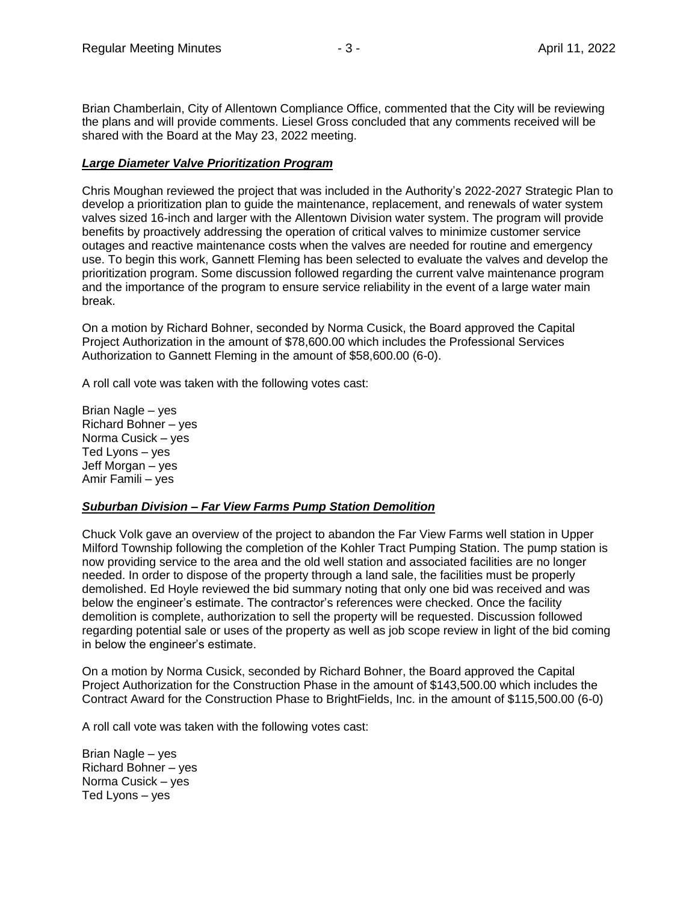Brian Chamberlain, City of Allentown Compliance Office, commented that the City will be reviewing the plans and will provide comments. Liesel Gross concluded that any comments received will be shared with the Board at the May 23, 2022 meeting.

### *Large Diameter Valve Prioritization Program*

Chris Moughan reviewed the project that was included in the Authority's 2022-2027 Strategic Plan to develop a prioritization plan to guide the maintenance, replacement, and renewals of water system valves sized 16-inch and larger with the Allentown Division water system. The program will provide benefits by proactively addressing the operation of critical valves to minimize customer service outages and reactive maintenance costs when the valves are needed for routine and emergency use. To begin this work, Gannett Fleming has been selected to evaluate the valves and develop the prioritization program. Some discussion followed regarding the current valve maintenance program and the importance of the program to ensure service reliability in the event of a large water main break.

On a motion by Richard Bohner, seconded by Norma Cusick, the Board approved the Capital Project Authorization in the amount of \$78,600.00 which includes the Professional Services Authorization to Gannett Fleming in the amount of \$58,600.00 (6-0).

A roll call vote was taken with the following votes cast:

Brian Nagle – yes Richard Bohner – yes Norma Cusick – yes Ted Lyons – yes Jeff Morgan – yes Amir Famili – yes

#### *Suburban Division – Far View Farms Pump Station Demolition*

Chuck Volk gave an overview of the project to abandon the Far View Farms well station in Upper Milford Township following the completion of the Kohler Tract Pumping Station. The pump station is now providing service to the area and the old well station and associated facilities are no longer needed. In order to dispose of the property through a land sale, the facilities must be properly demolished. Ed Hoyle reviewed the bid summary noting that only one bid was received and was below the engineer's estimate. The contractor's references were checked. Once the facility demolition is complete, authorization to sell the property will be requested. Discussion followed regarding potential sale or uses of the property as well as job scope review in light of the bid coming in below the engineer's estimate.

On a motion by Norma Cusick, seconded by Richard Bohner, the Board approved the Capital Project Authorization for the Construction Phase in the amount of \$143,500.00 which includes the Contract Award for the Construction Phase to BrightFields, Inc. in the amount of \$115,500.00 (6-0)

A roll call vote was taken with the following votes cast:

Brian Nagle – yes Richard Bohner – yes Norma Cusick – yes Ted Lyons – yes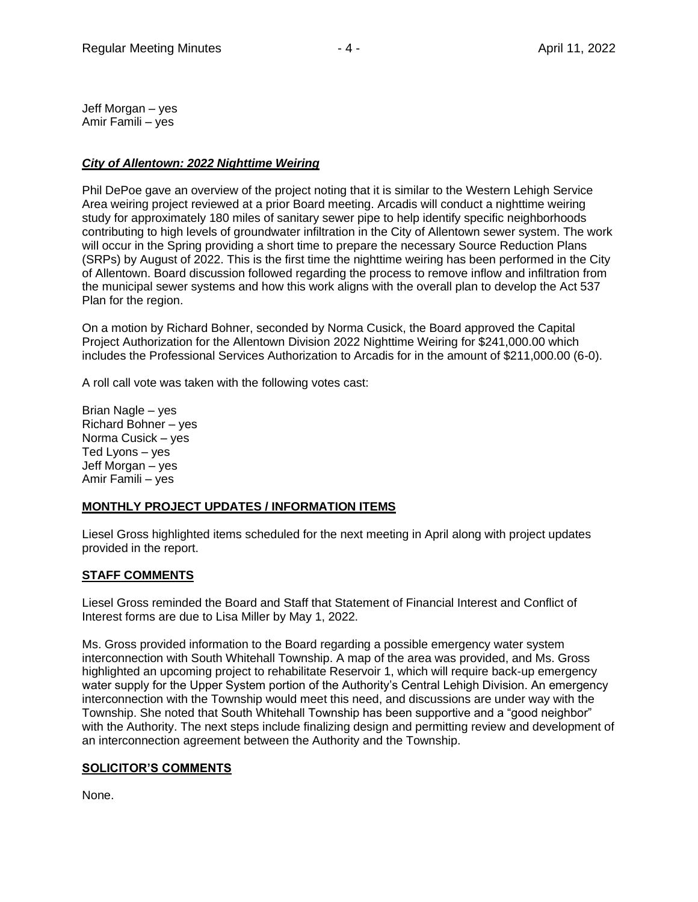Jeff Morgan – yes Amir Famili – yes

## *City of Allentown: 2022 Nighttime Weiring*

Phil DePoe gave an overview of the project noting that it is similar to the Western Lehigh Service Area weiring project reviewed at a prior Board meeting. Arcadis will conduct a nighttime weiring study for approximately 180 miles of sanitary sewer pipe to help identify specific neighborhoods contributing to high levels of groundwater infiltration in the City of Allentown sewer system. The work will occur in the Spring providing a short time to prepare the necessary Source Reduction Plans (SRPs) by August of 2022. This is the first time the nighttime weiring has been performed in the City of Allentown. Board discussion followed regarding the process to remove inflow and infiltration from the municipal sewer systems and how this work aligns with the overall plan to develop the Act 537 Plan for the region.

On a motion by Richard Bohner, seconded by Norma Cusick, the Board approved the Capital Project Authorization for the Allentown Division 2022 Nighttime Weiring for \$241,000.00 which includes the Professional Services Authorization to Arcadis for in the amount of \$211,000.00 (6-0).

A roll call vote was taken with the following votes cast:

Brian Nagle – yes Richard Bohner – yes Norma Cusick – yes Ted Lyons – yes Jeff Morgan – yes Amir Famili – yes

## **MONTHLY PROJECT UPDATES / INFORMATION ITEMS**

Liesel Gross highlighted items scheduled for the next meeting in April along with project updates provided in the report.

## **STAFF COMMENTS**

Liesel Gross reminded the Board and Staff that Statement of Financial Interest and Conflict of Interest forms are due to Lisa Miller by May 1, 2022.

Ms. Gross provided information to the Board regarding a possible emergency water system interconnection with South Whitehall Township. A map of the area was provided, and Ms. Gross highlighted an upcoming project to rehabilitate Reservoir 1, which will require back-up emergency water supply for the Upper System portion of the Authority's Central Lehigh Division. An emergency interconnection with the Township would meet this need, and discussions are under way with the Township. She noted that South Whitehall Township has been supportive and a "good neighbor" with the Authority. The next steps include finalizing design and permitting review and development of an interconnection agreement between the Authority and the Township.

## **SOLICITOR'S COMMENTS**

None.